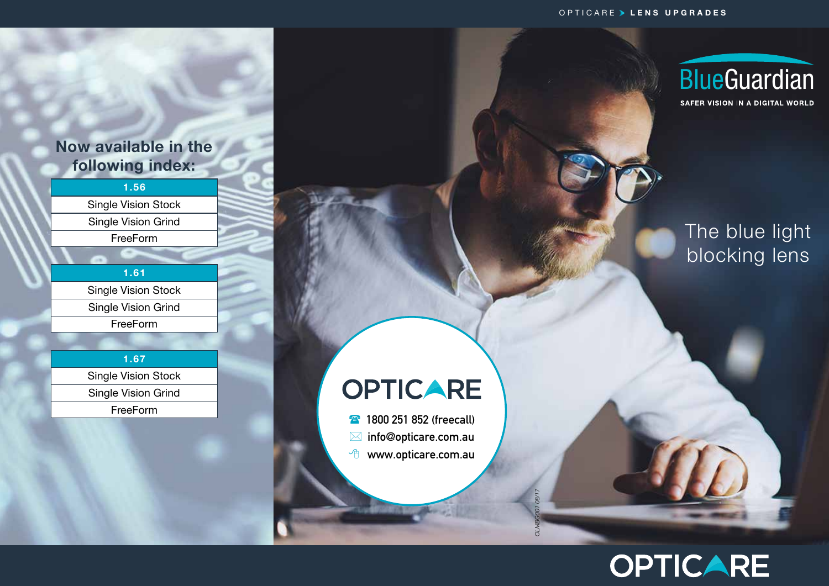#### OPTICARE > LENS UPGRADES

### Now available in the following index:

1.56 Single Vision Stock Single Vision Grind FreeForm

1.61 Single Vision Stock Single Vision Grind FreeForm

1.67 Single Vision Stock Single Vision Grind FreeForm

# **OPTICARE**

**1800 251 852 (freecall)**  info@opticare.com.au <sup></sub><sup>O</sup> www.opticare.com.au</sup>

*OLMBG001 08/17*

S



SAFER VISION IN A DIGITAL WORLD

## The blue light blocking lens

# **OPTICARE**